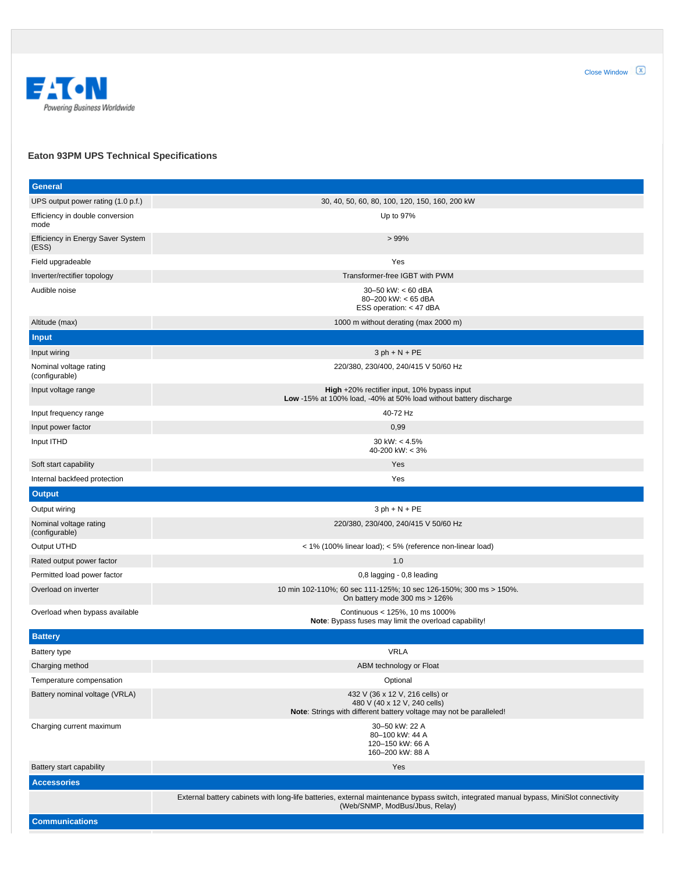

## **Eaton 93PM UPS Technical Specifications**

| <b>General</b>                             |                                                                                                                                                                           |
|--------------------------------------------|---------------------------------------------------------------------------------------------------------------------------------------------------------------------------|
| UPS output power rating (1.0 p.f.)         | 30, 40, 50, 60, 80, 100, 120, 150, 160, 200 kW                                                                                                                            |
| Efficiency in double conversion<br>mode    | Up to 97%                                                                                                                                                                 |
| Efficiency in Energy Saver System<br>(ESS) | >99%                                                                                                                                                                      |
| Field upgradeable                          | Yes                                                                                                                                                                       |
| Inverter/rectifier topology                | Transformer-free IGBT with PWM                                                                                                                                            |
| Audible noise                              | 30-50 kW: $< 60$ dBA<br>80-200 kW: < 65 dBA<br>ESS operation: < 47 dBA                                                                                                    |
| Altitude (max)                             | 1000 m without derating (max 2000 m)                                                                                                                                      |
| <b>Input</b>                               |                                                                                                                                                                           |
| Input wiring                               | $3 ph + N + PE$                                                                                                                                                           |
| Nominal voltage rating<br>(configurable)   | 220/380, 230/400, 240/415 V 50/60 Hz                                                                                                                                      |
| Input voltage range                        | High +20% rectifier input, 10% bypass input<br>Low -15% at 100% load, -40% at 50% load without battery discharge                                                          |
| Input frequency range                      | 40-72 Hz                                                                                                                                                                  |
| Input power factor                         | 0,99                                                                                                                                                                      |
| Input ITHD                                 | 30 kW: $< 4.5\%$<br>40-200 kW: < 3%                                                                                                                                       |
| Soft start capability                      | Yes                                                                                                                                                                       |
| Internal backfeed protection               | Yes                                                                                                                                                                       |
| <b>Output</b>                              |                                                                                                                                                                           |
| Output wiring                              | $3 ph + N + PE$                                                                                                                                                           |
| Nominal voltage rating<br>(configurable)   | 220/380, 230/400, 240/415 V 50/60 Hz                                                                                                                                      |
| Output UTHD                                | < 1% (100% linear load); < 5% (reference non-linear load)                                                                                                                 |
| Rated output power factor                  | 1.0                                                                                                                                                                       |
| Permitted load power factor                | 0,8 lagging - 0,8 leading                                                                                                                                                 |
| Overload on inverter                       | 10 min 102-110%; 60 sec 111-125%; 10 sec 126-150%; 300 ms > 150%.<br>On battery mode 300 ms > 126%                                                                        |
| Overload when bypass available             | Continuous < 125%, 10 ms 1000%<br>Note: Bypass fuses may limit the overload capability!                                                                                   |
| <b>Battery</b>                             |                                                                                                                                                                           |
| Battery type                               | <b>VRLA</b>                                                                                                                                                               |
| Charging method                            | ABM technology or Float                                                                                                                                                   |
| Temperature compensation                   | Optional                                                                                                                                                                  |
| Battery nominal voltage (VRLA)             | 432 V (36 x 12 V, 216 cells) or<br>480 V (40 x 12 V, 240 cells)<br>Note: Strings with different battery voltage may not be paralleled!                                    |
| Charging current maximum                   | 30-50 kW: 22 A<br>80-100 kW: 44 A<br>120-150 kW: 66 A<br>160-200 kW: 88 A                                                                                                 |
| Battery start capability                   | Yes                                                                                                                                                                       |
| <b>Accessories</b>                         |                                                                                                                                                                           |
|                                            | External battery cabinets with long-life batteries, external maintenance bypass switch, integrated manual bypass, MiniSlot connectivity<br>(Web/SNMP, ModBus/Jbus, Relay) |
| <b>Communications</b>                      |                                                                                                                                                                           |